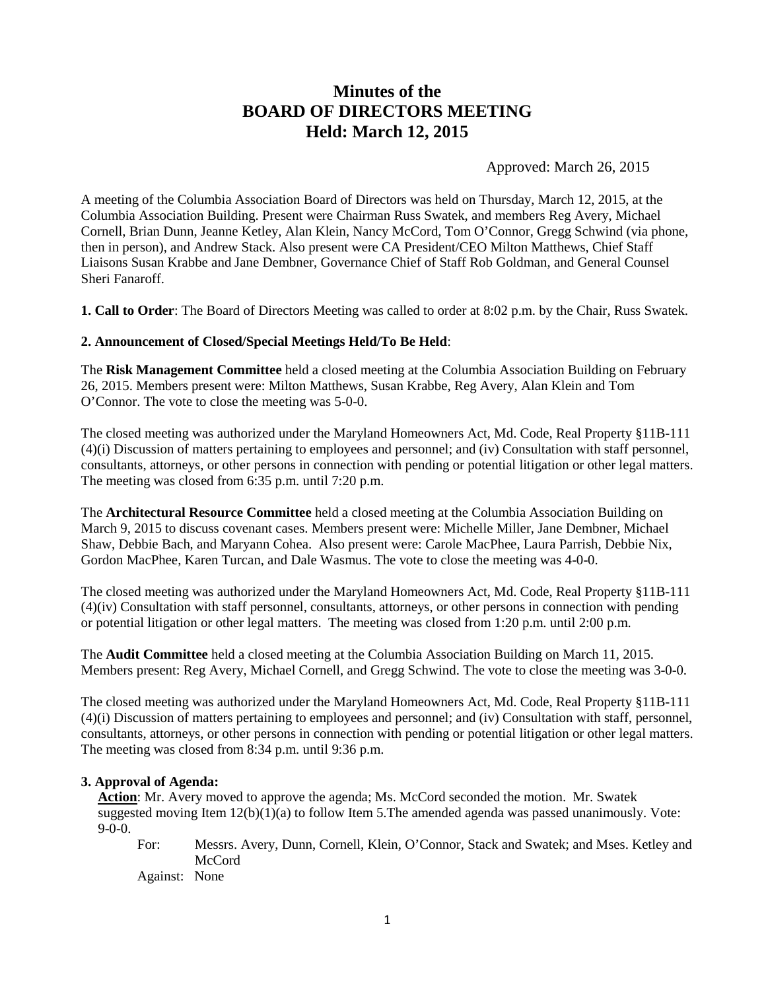# **Minutes of the BOARD OF DIRECTORS MEETING Held: March 12, 2015**

Approved: March 26, 2015

A meeting of the Columbia Association Board of Directors was held on Thursday, March 12, 2015, at the Columbia Association Building. Present were Chairman Russ Swatek, and members Reg Avery, Michael Cornell, Brian Dunn, Jeanne Ketley, Alan Klein, Nancy McCord, Tom O'Connor, Gregg Schwind (via phone, then in person), and Andrew Stack. Also present were CA President/CEO Milton Matthews, Chief Staff Liaisons Susan Krabbe and Jane Dembner, Governance Chief of Staff Rob Goldman, and General Counsel Sheri Fanaroff.

**1. Call to Order**: The Board of Directors Meeting was called to order at 8:02 p.m. by the Chair, Russ Swatek.

## **2. Announcement of Closed/Special Meetings Held/To Be Held**:

The **Risk Management Committee** held a closed meeting at the Columbia Association Building on February 26, 2015. Members present were: Milton Matthews, Susan Krabbe, Reg Avery, Alan Klein and Tom O'Connor. The vote to close the meeting was 5-0-0.

The closed meeting was authorized under the Maryland Homeowners Act, Md. Code, Real Property §11B-111 (4)(i) Discussion of matters pertaining to employees and personnel; and (iv) Consultation with staff personnel, consultants, attorneys, or other persons in connection with pending or potential litigation or other legal matters. The meeting was closed from 6:35 p.m. until 7:20 p.m.

The **Architectural Resource Committee** held a closed meeting at the Columbia Association Building on March 9, 2015 to discuss covenant cases. Members present were: Michelle Miller, Jane Dembner, Michael Shaw, Debbie Bach, and Maryann Cohea. Also present were: Carole MacPhee, Laura Parrish, Debbie Nix, Gordon MacPhee, Karen Turcan, and Dale Wasmus. The vote to close the meeting was 4-0-0.

The closed meeting was authorized under the Maryland Homeowners Act, Md. Code, Real Property §11B-111 (4)(iv) Consultation with staff personnel, consultants, attorneys, or other persons in connection with pending or potential litigation or other legal matters. The meeting was closed from 1:20 p.m. until 2:00 p.m.

The **Audit Committee** held a closed meeting at the Columbia Association Building on March 11, 2015. Members present: Reg Avery, Michael Cornell, and Gregg Schwind. The vote to close the meeting was 3-0-0.

The closed meeting was authorized under the Maryland Homeowners Act, Md. Code, Real Property §11B-111 (4)(i) Discussion of matters pertaining to employees and personnel; and (iv) Consultation with staff, personnel, consultants, attorneys, or other persons in connection with pending or potential litigation or other legal matters. The meeting was closed from 8:34 p.m. until 9:36 p.m.

## **3. Approval of Agenda:**

**Action**: Mr. Avery moved to approve the agenda; Ms. McCord seconded the motion. Mr. Swatek suggested moving Item  $12(b)(1)(a)$  to follow Item 5. The amended agenda was passed unanimously. Vote:  $9-0-0.$ 

For: Messrs. Avery, Dunn, Cornell, Klein, O'Connor, Stack and Swatek; and Mses. Ketley and McCord

Against: None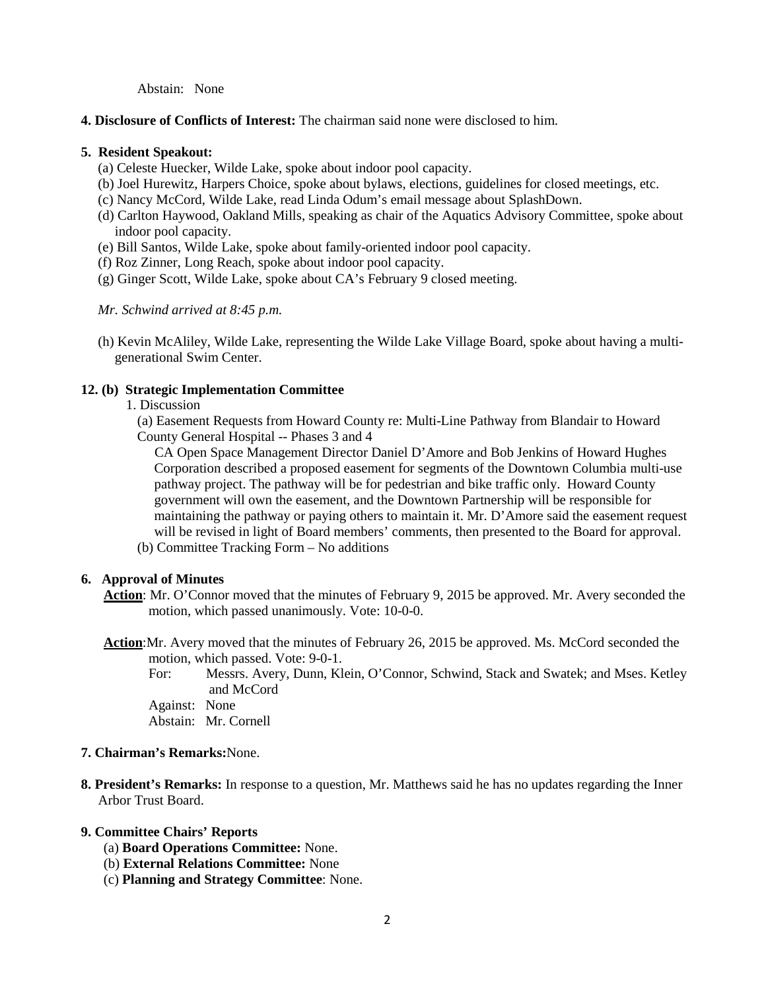Abstain: None

**4. Disclosure of Conflicts of Interest:** The chairman said none were disclosed to him.

## **5. Resident Speakout:**

- (a) Celeste Huecker, Wilde Lake, spoke about indoor pool capacity.
- (b) Joel Hurewitz, Harpers Choice, spoke about bylaws, elections, guidelines for closed meetings, etc.
- (c) Nancy McCord, Wilde Lake, read Linda Odum's email message about SplashDown.
- (d) Carlton Haywood, Oakland Mills, speaking as chair of the Aquatics Advisory Committee, spoke about indoor pool capacity.
- (e) Bill Santos, Wilde Lake, spoke about family-oriented indoor pool capacity.
- (f) Roz Zinner, Long Reach, spoke about indoor pool capacity.
- (g) Ginger Scott, Wilde Lake, spoke about CA's February 9 closed meeting.

*Mr. Schwind arrived at 8:45 p.m.*

(h) Kevin McAliley, Wilde Lake, representing the Wilde Lake Village Board, spoke about having a multigenerational Swim Center.

### **12. (b) Strategic Implementation Committee**

1. Discussion

(a) Easement Requests from Howard County re: Multi-Line Pathway from Blandair to Howard County General Hospital -- Phases 3 and 4

 CA Open Space Management Director Daniel D'Amore and Bob Jenkins of Howard Hughes Corporation described a proposed easement for segments of the Downtown Columbia multi-use pathway project. The pathway will be for pedestrian and bike traffic only. Howard County government will own the easement, and the Downtown Partnership will be responsible for maintaining the pathway or paying others to maintain it. Mr. D'Amore said the easement request will be revised in light of Board members' comments, then presented to the Board for approval.

(b) Committee Tracking Form – No additions

#### **6. Approval of Minutes**

- **Action**: Mr. O'Connor moved that the minutes of February 9, 2015 be approved. Mr. Avery seconded the motion, which passed unanimously. Vote: 10-0-0.
- **Action**:Mr. Avery moved that the minutes of February 26, 2015 be approved. Ms. McCord seconded the motion, which passed. Vote: 9-0-1.
	- For: Messrs. Avery, Dunn, Klein, O'Connor, Schwind, Stack and Swatek; and Mses. Ketley and McCord

Against: None Abstain: Mr. Cornell

## **7. Chairman's Remarks:**None.

**8. President's Remarks:** In response to a question, Mr. Matthews said he has no updates regarding the Inner Arbor Trust Board.

## **9. Committee Chairs' Reports**

- (a) **Board Operations Committee:** None.
- (b) **External Relations Committee:** None
- (c) **Planning and Strategy Committee**: None.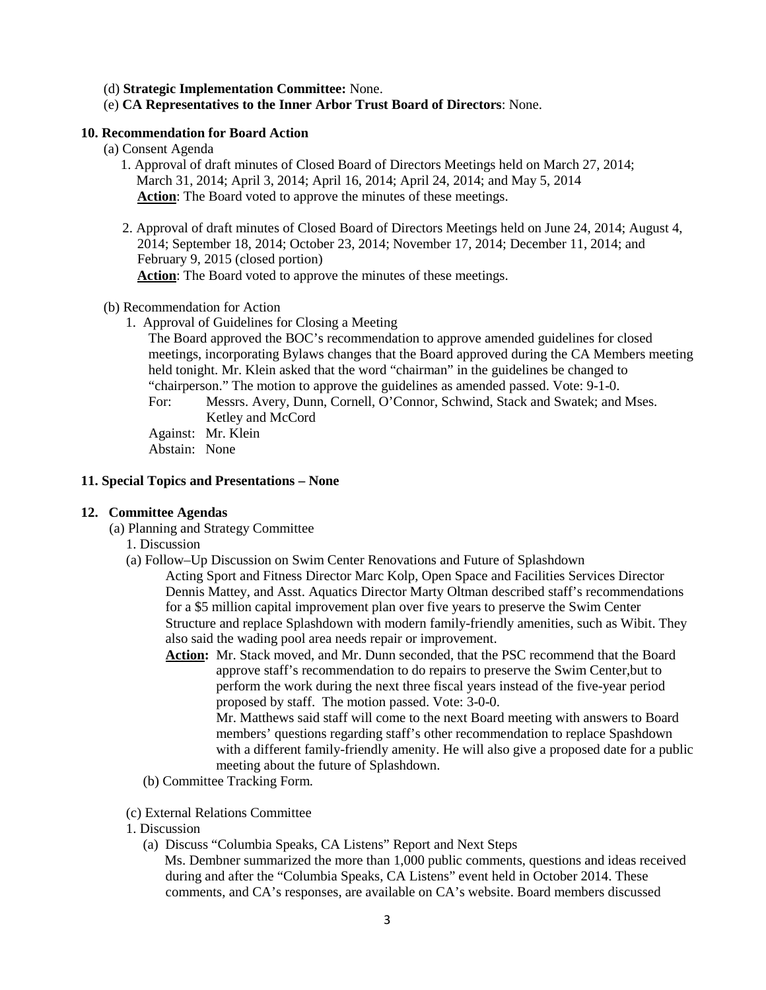(d) **Strategic Implementation Committee:** None.

(e) **CA Representatives to the Inner Arbor Trust Board of Directors**: None.

## **10. Recommendation for Board Action**

- (a) Consent Agenda
	- 1. Approval of draft minutes of Closed Board of Directors Meetings held on March 27, 2014; March 31, 2014; April 3, 2014; April 16, 2014; April 24, 2014; and May 5, 2014 **Action**: The Board voted to approve the minutes of these meetings.
	- 2. Approval of draft minutes of Closed Board of Directors Meetings held on June 24, 2014; August 4, 2014; September 18, 2014; October 23, 2014; November 17, 2014; December 11, 2014; and February 9, 2015 (closed portion)

**Action**: The Board voted to approve the minutes of these meetings.

- (b) Recommendation for Action
	- 1. Approval of Guidelines for Closing a Meeting

The Board approved the BOC's recommendation to approve amended guidelines for closed meetings, incorporating Bylaws changes that the Board approved during the CA Members meeting held tonight. Mr. Klein asked that the word "chairman" in the guidelines be changed to "chairperson." The motion to approve the guidelines as amended passed. Vote: 9-1-0.

For: Messrs. Avery, Dunn, Cornell, O'Connor, Schwind, Stack and Swatek; and Mses. Ketley and McCord

Against: Mr. Klein Abstain: None

#### **11. Special Topics and Presentations – None**

#### **12. Committee Agendas**

- (a) Planning and Strategy Committee
	- 1. Discussion
	- (a) Follow–Up Discussion on Swim Center Renovations and Future of Splashdown

Acting Sport and Fitness Director Marc Kolp, Open Space and Facilities Services Director Dennis Mattey, and Asst. Aquatics Director Marty Oltman described staff's recommendations for a \$5 million capital improvement plan over five years to preserve the Swim Center Structure and replace Splashdown with modern family-friendly amenities, such as Wibit. They also said the wading pool area needs repair or improvement.

**Action:** Mr. Stack moved, and Mr. Dunn seconded, that the PSC recommend that the Board approve staff's recommendation to do repairs to preserve the Swim Center,but to perform the work during the next three fiscal years instead of the five-year period proposed by staff. The motion passed. Vote: 3-0-0.

Mr. Matthews said staff will come to the next Board meeting with answers to Board members' questions regarding staff's other recommendation to replace Spashdown with a different family-friendly amenity. He will also give a proposed date for a public meeting about the future of Splashdown.

(b) Committee Tracking Form*.*

### (c) External Relations Committee

- 1. Discussion
	- (a) Discuss "Columbia Speaks, CA Listens" Report and Next Steps

 Ms. Dembner summarized the more than 1,000 public comments, questions and ideas received during and after the "Columbia Speaks, CA Listens" event held in October 2014. These comments, and CA's responses, are available on CA's website. Board members discussed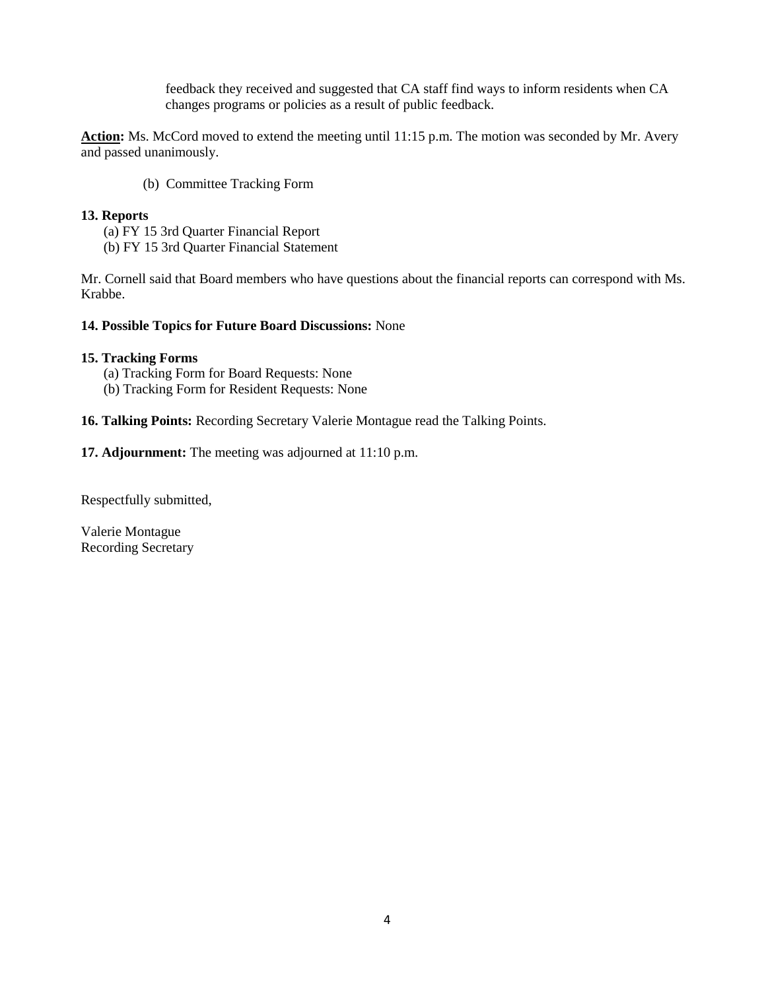feedback they received and suggested that CA staff find ways to inform residents when CA changes programs or policies as a result of public feedback.

**Action:** Ms. McCord moved to extend the meeting until 11:15 p.m. The motion was seconded by Mr. Avery and passed unanimously.

(b) Committee Tracking Form

## **13. Reports**

(a) FY 15 3rd Quarter Financial Report

(b) FY 15 3rd Quarter Financial Statement

Mr. Cornell said that Board members who have questions about the financial reports can correspond with Ms. Krabbe.

## **14. Possible Topics for Future Board Discussions:** None

## **15. Tracking Forms**

- (a) Tracking Form for Board Requests: None
- (b) Tracking Form for Resident Requests: None

## **16. Talking Points:** Recording Secretary Valerie Montague read the Talking Points.

**17. Adjournment:** The meeting was adjourned at 11:10 p.m.

Respectfully submitted,

Valerie Montague Recording Secretary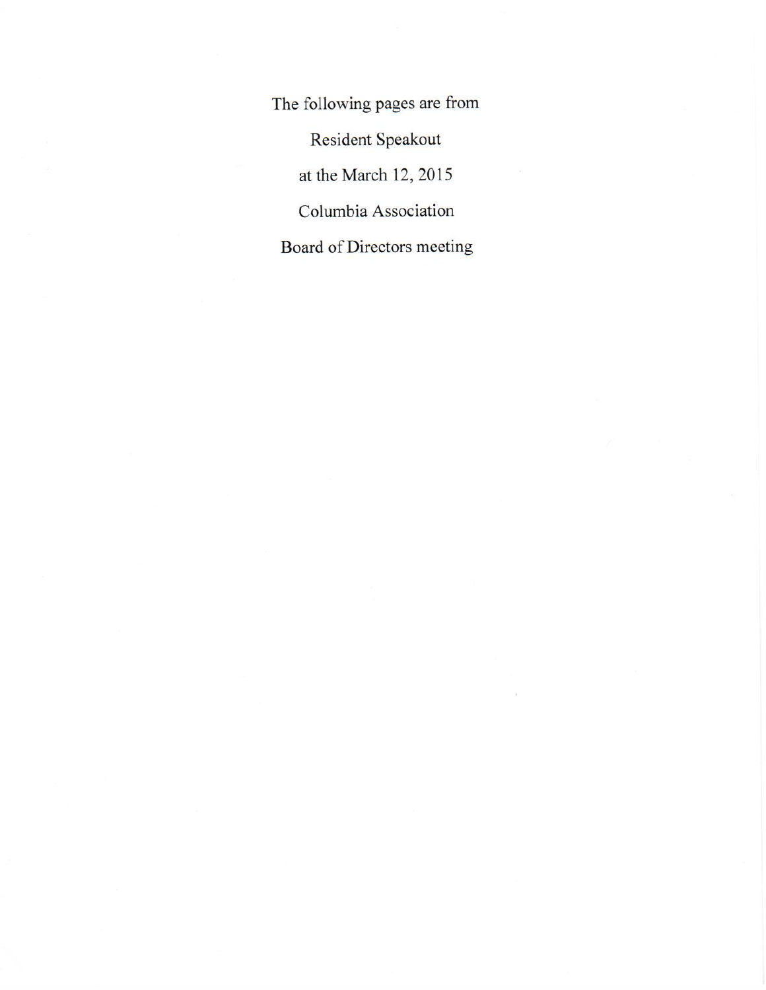The following pages are from Resident Speakout at the March 12, 2015 Columbia Association Board of Directors meeting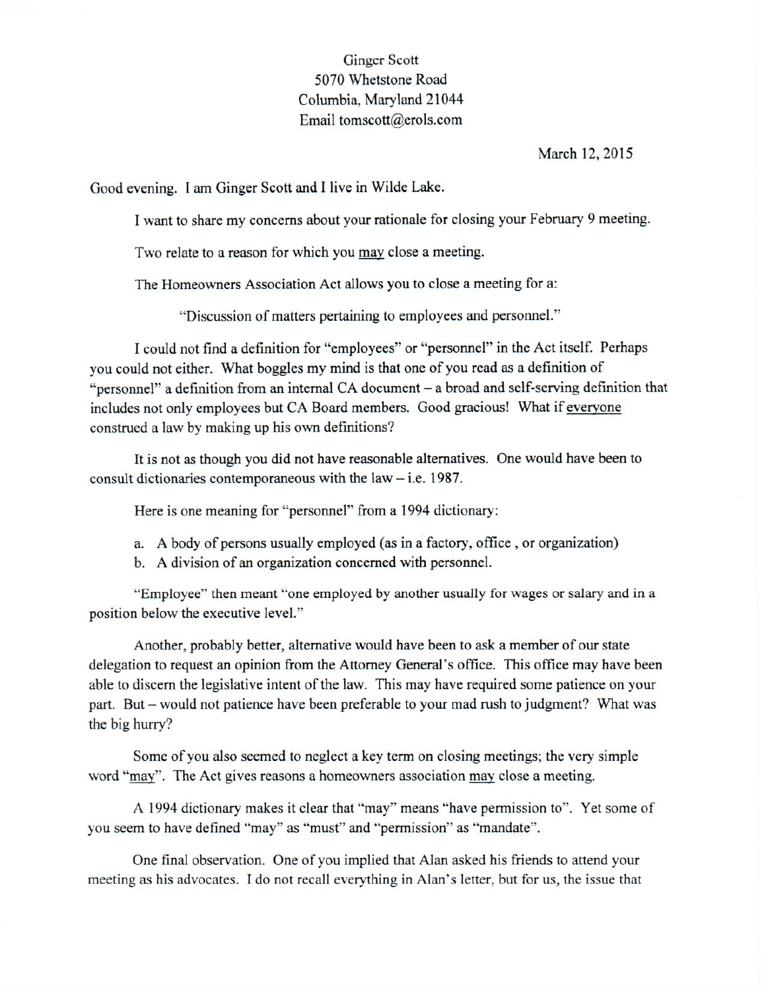## **Ginger Scott** 5070 Whetstone Road Columbia, Maryland 21044 Email tomscott@erols.com

## March 12, 2015

Good evening. I am Ginger Scott and I live in Wilde Lake.

I want to share my concerns about your rationale for closing your February 9 meeting.

Two relate to a reason for which you may close a meeting.

The Homeowners Association Act allows you to close a meeting for a:

"Discussion of matters pertaining to employees and personnel."

I could not find a definition for "employees" or "personnel" in the Act itself. Perhaps you could not either. What boggles my mind is that one of you read as a definition of "personnel" a definition from an internal CA document – a broad and self-serving definition that includes not only employees but CA Board members. Good gracious! What if everyone construed a law by making up his own definitions?

It is not as though you did not have reasonable alternatives. One would have been to consult dictionaries contemporaneous with the law  $-$  i.e. 1987.

Here is one meaning for "personnel" from a 1994 dictionary:

- a. A body of persons usually employed (as in a factory, office, or organization)
- b. A division of an organization concerned with personnel.

"Employee" then meant "one employed by another usually for wages or salary and in a position below the executive level."

Another, probably better, alternative would have been to ask a member of our state delegation to request an opinion from the Attorney General's office. This office may have been able to discern the legislative intent of the law. This may have required some patience on your part. But – would not patience have been preferable to your mad rush to judgment? What was the big hurry?

Some of you also seemed to neglect a key term on closing meetings; the very simple word "may". The Act gives reasons a homeowners association may close a meeting.

A 1994 dictionary makes it clear that "may" means "have permission to". Yet some of you seem to have defined "may" as "must" and "permission" as "mandate".

One final observation. One of you implied that Alan asked his friends to attend your meeting as his advocates. I do not recall everything in Alan's letter, but for us, the issue that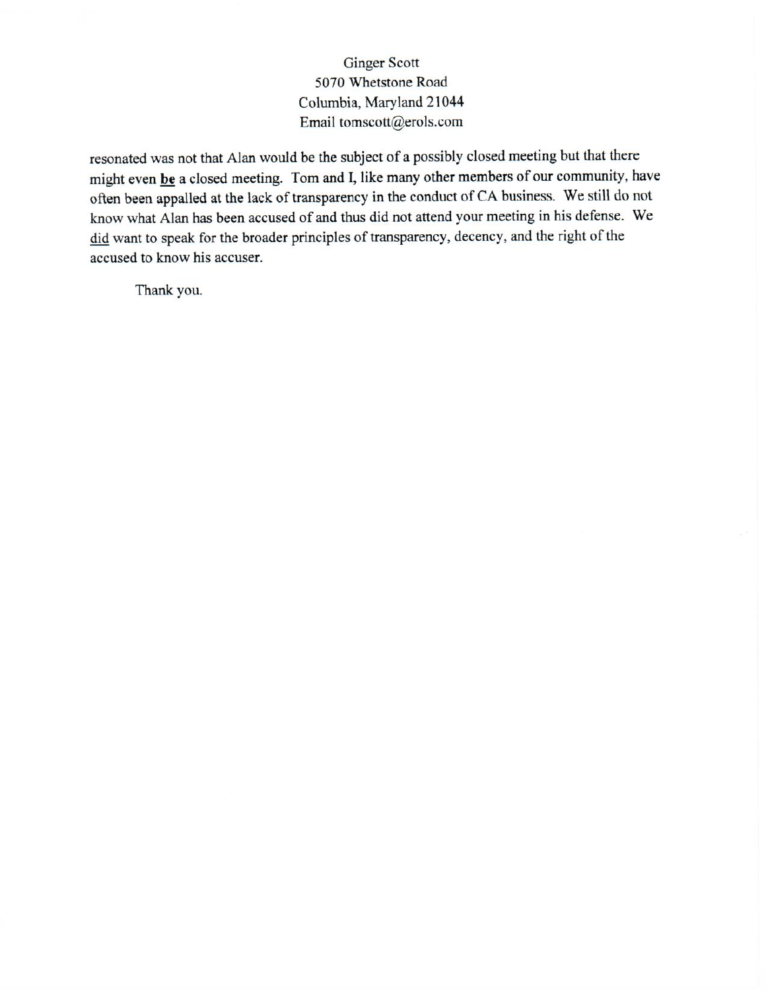## **Ginger Scott** 5070 Whetstone Road Columbia, Maryland 21044 Email tomscott@erols.com

resonated was not that Alan would be the subject of a possibly closed meeting but that there might even be a closed meeting. Tom and I, like many other members of our community, have often been appalled at the lack of transparency in the conduct of CA business. We still do not know what Alan has been accused of and thus did not attend your meeting in his defense. We did want to speak for the broader principles of transparency, decency, and the right of the accused to know his accuser.

Thank you.